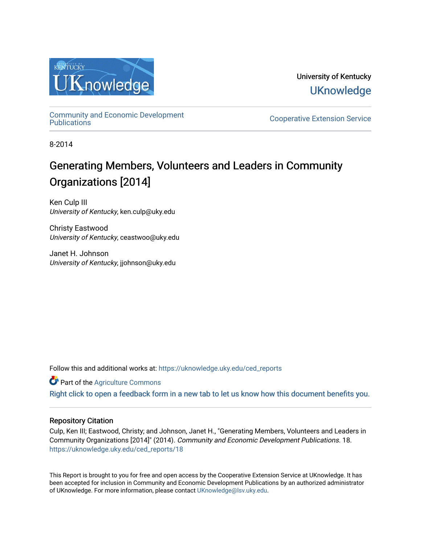

University of Kentucky **UKnowledge** 

[Community and Economic Development](https://uknowledge.uky.edu/ced_reports) 

**Cooperative Extension Service** 

8-2014

## Generating Members, Volunteers and Leaders in Community Organizations [2014]

Ken Culp III University of Kentucky, ken.culp@uky.edu

Christy Eastwood University of Kentucky, ceastwoo@uky.edu

Janet H. Johnson University of Kentucky, jjohnson@uky.edu

Follow this and additional works at: [https://uknowledge.uky.edu/ced\\_reports](https://uknowledge.uky.edu/ced_reports?utm_source=uknowledge.uky.edu%2Fced_reports%2F18&utm_medium=PDF&utm_campaign=PDFCoverPages)

**C** Part of the [Agriculture Commons](http://network.bepress.com/hgg/discipline/1076?utm_source=uknowledge.uky.edu%2Fced_reports%2F18&utm_medium=PDF&utm_campaign=PDFCoverPages)

[Right click to open a feedback form in a new tab to let us know how this document benefits you.](https://uky.az1.qualtrics.com/jfe/form/SV_9mq8fx2GnONRfz7)

#### Repository Citation

Culp, Ken III; Eastwood, Christy; and Johnson, Janet H., "Generating Members, Volunteers and Leaders in Community Organizations [2014]" (2014). Community and Economic Development Publications. 18. [https://uknowledge.uky.edu/ced\\_reports/18](https://uknowledge.uky.edu/ced_reports/18?utm_source=uknowledge.uky.edu%2Fced_reports%2F18&utm_medium=PDF&utm_campaign=PDFCoverPages) 

This Report is brought to you for free and open access by the Cooperative Extension Service at UKnowledge. It has been accepted for inclusion in Community and Economic Development Publications by an authorized administrator of UKnowledge. For more information, please contact [UKnowledge@lsv.uky.edu.](mailto:UKnowledge@lsv.uky.edu)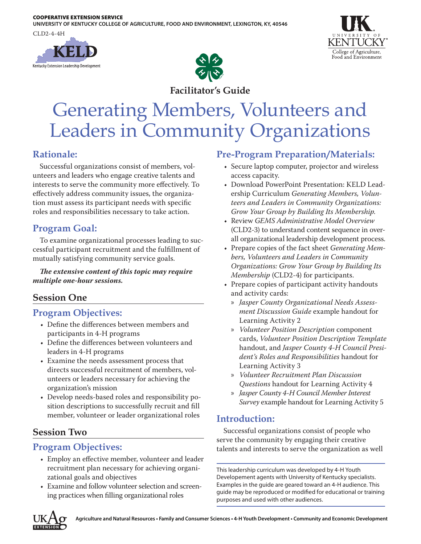**UNIVERSITY OF KENTUCKY COLLEGE OF AGRICULTURE, FOOD AND ENVIRONMENT, LEXINGTON, KY, 40546**

CLD2-4-4H







**Facilitator's Guide**

# Generating Members, Volunteers and Leaders in Community Organizations

## **Rationale:**

Successful organizations consist of members, volunteers and leaders who engage creative talents and interests to serve the community more effectively. To effectively address community issues, the organization must assess its participant needs with specific roles and responsibilities necessary to take action.

## **Program Goal:**

To examine organizational processes leading to successful participant recruitment and the fulfillment of mutually satisfying community service goals.

#### *The extensive content of this topic may require multiple one-hour sessions.*

## **Session One**

## **Program Objectives:**

- Define the differences between members and participants in 4-H programs
- Define the differences between volunteers and leaders in 4-H programs
- Examine the needs assessment process that directs successful recruitment of members, volunteers or leaders necessary for achieving the organization's mission
- Develop needs-based roles and responsibility position descriptions to successfully recruit and fill member, volunteer or leader organizational roles

## **Session Two**

## **Program Objectives:**

- Employ an effective member, volunteer and leader recruitment plan necessary for achieving organizational goals and objectives
- Examine and follow volunteer selection and screening practices when filling organizational roles

## **Pre-Program Preparation/Materials:**

- Secure laptop computer, projector and wireless access capacity.
- Download PowerPoint Presentation: KELD Leadership Curriculum *Generating Members, Volunteers and Leaders in Community Organizations: Grow Your Group by Building Its Membership.*
- Review *GEMS Administrative Model Overview* (CLD2-3) to understand content sequence in overall organizational leadership development process.
- Prepare copies of the fact sheet *Generating Members, Volunteers and Leaders in Community Organizations: Grow Your Group by Building Its Membership* (CLD2-4) for participants.
- Prepare copies of participant activity handouts and activity cards:
	- » *Jasper County Organizational Needs Assessment Discussion Guide* example handout for Learning Activity 2
	- » *Volunteer Position Description* component cards, *Volunteer Position Description Template* handout, and *Jasper County 4-H Council President's Roles and Responsibilities* handout for Learning Activity 3
	- » *Volunteer Recruitment Plan Discussion Questions* handout for Learning Activity 4
	- » *Jasper County 4-H Council Member Interest Survey* example handout for Learning Activity 5

## **Introduction:**

Successful organizations consist of people who serve the community by engaging their creative talents and interests to serve the organization as well

This leadership curriculum was developed by 4-H Youth Developement agents with University of Kentucky specialists. Examples in the guide are geared toward an 4-H audience. This guide may be reproduced or modified for educational or training purposes and used with other audiences.

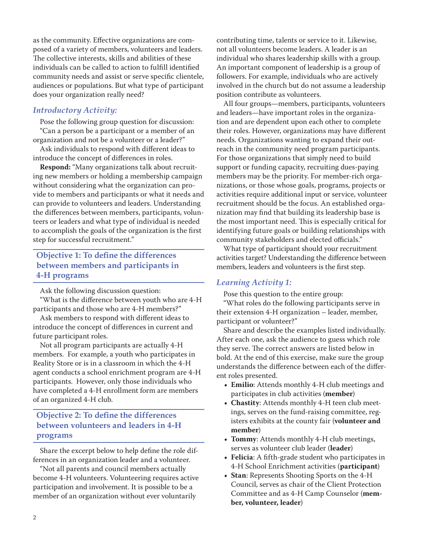as the community. Effective organizations are composed of a variety of members, volunteers and leaders. The collective interests, skills and abilities of these individuals can be called to action to fulfill identified community needs and assist or serve specific clientele, audiences or populations. But what type of participant does your organization really need?

#### *Introductory Activity:*

Pose the following group question for discussion: "Can a person be a participant or a member of an organization and not be a volunteer or a leader?"

Ask individuals to respond with different ideas to introduce the concept of differences in roles.

**Respond:** "Many organizations talk about recruiting new members or holding a membership campaign without considering what the organization can provide to members and participants or what it needs and can provide to volunteers and leaders. Understanding the differences between members, participants, volunteers or leaders and what type of individual is needed to accomplish the goals of the organization is the first step for successful recruitment."

#### **Objective 1: To define the differences between members and participants in 4-H programs**

Ask the following discussion question:

"What is the difference between youth who are 4-H participants and those who are 4-H members?"

Ask members to respond with different ideas to introduce the concept of differences in current and future participant roles.

Not all program participants are actually 4-H members. For example, a youth who participates in Reality Store or is in a classroom in which the 4-H agent conducts a school enrichment program are 4-H participants. However, only those individuals who have completed a 4-H enrollment form are members of an organized 4-H club.

#### **Objective 2: To define the differences between volunteers and leaders in 4-H programs**

Share the excerpt below to help define the role differences in an organization leader and a volunteer.

"Not all parents and council members actually become 4-H volunteers. Volunteering requires active participation and involvement. It is possible to be a member of an organization without ever voluntarily

contributing time, talents or service to it. Likewise, not all volunteers become leaders. A leader is an individual who shares leadership skills with a group. An important component of leadership is a group of followers. For example, individuals who are actively involved in the church but do not assume a leadership position contribute as volunteers.

All four groups—members, participants, volunteers and leaders—have important roles in the organization and are dependent upon each other to complete their roles. However, organizations may have different needs. Organizations wanting to expand their outreach in the community need program participants. For those organizations that simply need to build support or funding capacity, recruiting dues-paying members may be the priority. For member-rich organizations, or those whose goals, programs, projects or activities require additional input or service, volunteer recruitment should be the focus. An established organization may find that building its leadership base is the most important need. This is especially critical for identifying future goals or building relationships with community stakeholders and elected officials."

What type of participant should your recruitment activities target? Understanding the difference between members, leaders and volunteers is the first step.

#### *Learning Activity 1:*

Pose this question to the entire group:

"What roles do the following participants serve in their extension 4-H organization – leader, member, participant or volunteer?"

Share and describe the examples listed individually. After each one, ask the audience to guess which role they serve. The correct answers are listed below in bold. At the end of this exercise, make sure the group understands the difference between each of the different roles presented.

- **• Emilio**: Attends monthly 4-H club meetings and participates in club activities (**member**)
- **• Chastity**: Attends monthly 4-H teen club meetings, serves on the fund-raising committee, registers exhibits at the county fair (**volunteer and member**)
- **• Tommy**: Attends monthly 4-H club meetings, serves as volunteer club leader (**leader**)
- **• Felicia**: A fifth-grade student who participates in 4-H School Enrichment activities (**participant**)
- **• Stan**: Represents Shooting Sports on the 4-H Council, serves as chair of the Client Protection Committee and as 4-H Camp Counselor (**member, volunteer, leader**)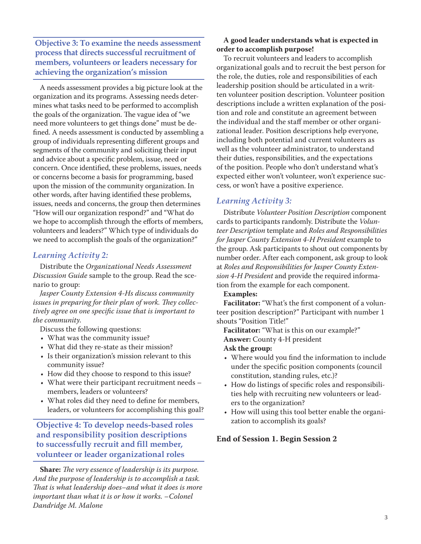**Objective 3: To examine the needs assessment process that directs successful recruitment of members, volunteers or leaders necessary for achieving the organization's mission**

A needs assessment provides a big picture look at the organization and its programs. Assessing needs determines what tasks need to be performed to accomplish the goals of the organization. The vague idea of "we need more volunteers to get things done" must be defined. A needs assessment is conducted by assembling a group of individuals representing different groups and segments of the community and soliciting their input and advice about a specific problem, issue, need or concern. Once identified, these problems, issues, needs or concerns become a basis for programming, based upon the mission of the community organization. In other words, after having identified these problems, issues, needs and concerns, the group then determines "How will our organization respond?" and "What do we hope to accomplish through the efforts of members, volunteers and leaders?" Which type of individuals do we need to accomplish the goals of the organization?"

#### *Learning Activity 2:*

Distribute the *Organizational Needs Assessment Discussion Guide* sample to the group. Read the scenario to group:

*Jasper County Extension 4-Hs discuss community issues in preparing for their plan of work. They collectively agree on one specific issue that is important to the community*.

Discuss the following questions:

- What was the community issue?
- What did they re-state as their mission?
- Is their organization's mission relevant to this community issue?
- How did they choose to respond to this issue?
- What were their participant recruitment needs members, leaders or volunteers?
- What roles did they need to define for members, leaders, or volunteers for accomplishing this goal?

**Objective 4: To develop needs-based roles and responsibility position descriptions to successfully recruit and fill member, volunteer or leader organizational roles**

**Share:** *The very essence of leadership is its purpose. And the purpose of leadership is to accomplish a task. That is what leadership does–and what it does is more important than what it is or how it works. –Colonel Dandridge M. Malone*

#### **A good leader understands what is expected in order to accomplish purpose!**

To recruit volunteers and leaders to accomplish organizational goals and to recruit the best person for the role, the duties, role and responsibilities of each leadership position should be articulated in a written volunteer position description. Volunteer position descriptions include a written explanation of the position and role and constitute an agreement between the individual and the staff member or other organizational leader. Position descriptions help everyone, including both potential and current volunteers as well as the volunteer administrator, to understand their duties, responsibilities, and the expectations of the position. People who don't understand what's expected either won't volunteer, won't experience success, or won't have a positive experience.

#### *Learning Activity 3:*

Distribute *Volunteer Position Description* component cards to participants randomly. Distribute the *Volunteer Description* template and *Roles and Responsibilities for Jasper County Extension 4-H President* example to the group. Ask participants to shout out components by number order. After each component, ask group to look at *Roles and Responsibilities for Jasper County Extension 4-H President* and provide the required information from the example for each component.

#### **Examples:**

**Facilitator:** "What's the first component of a volunteer position description?" Participant with number 1 shouts "Position Title!"

**Facilitator:** "What is this on our example?" **Answer:** County 4-H president **Ask the group:**

- Where would you find the information to include under the specific position components (council constitution, standing rules, etc.)?
- How do listings of specific roles and responsibilities help with recruiting new volunteers or leaders to the organization?
- How will using this tool better enable the organization to accomplish its goals?

#### **End of Session 1. Begin Session 2**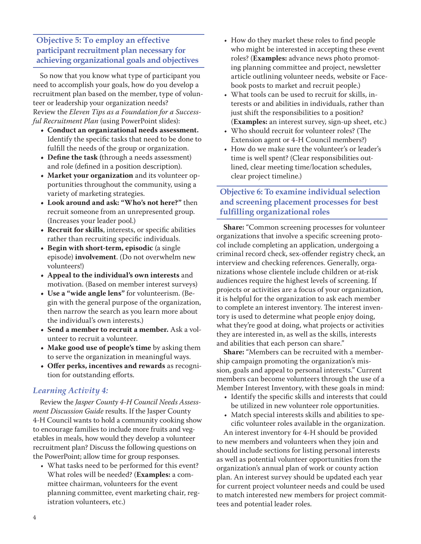#### **Objective 5: To employ an effective participant recruitment plan necessary for achieving organizational goals and objectives**

So now that you know what type of participant you need to accomplish your goals, how do you develop a recruitment plan based on the member, type of volunteer or leadership your organization needs? Review the *Eleven Tips as a Foundation for a Successful Recruitment Plan* (using PowerPoint slides):

- **• Conduct an organizational needs assessment.**  Identify the specific tasks that need to be done to fulfill the needs of the group or organization.
- **• Define the task (**through a needs assessment) and role (defined in a position description).
- **• Market your organization** and its volunteer opportunities throughout the community, using a variety of marketing strategies.
- **• Look around and ask: "Who's not here?"** then recruit someone from an unrepresented group. (Increases your leader pool.)
- **• Recruit for skills**, interests, or specific abilities rather than recruiting specific individuals.
- **• Begin with short-term, episodic** (a single episode) **involvement**. (Do not overwhelm new volunteers!)
- **• Appeal to the individual's own interests** and motivation. (Based on member interest surveys)
- **• Use a "wide angle lens"** for volunteerism. (Begin with the general purpose of the organization, then narrow the search as you learn more about the individual's own interests.)
- **• Send a member to recruit a member.** Ask a volunteer to recruit a volunteer.
- **• Make good use of people's time** by asking them to serve the organization in meaningful ways.
- **• Offer perks, incentives and rewards** as recognition for outstanding efforts.

#### *Learning Activity 4:*

Review the *Jasper County 4-H Council Needs Assessment Discussion Guide* results. If the Jasper County 4-H Council wants to hold a community cooking show to encourage families to include more fruits and vegetables in meals, how would they develop a volunteer recruitment plan? Discuss the following questions on the PowerPoint; allow time for group responses.

• What tasks need to be performed for this event? What roles will be needed? (**Examples:** a committee chairman, volunteers for the event planning committee, event marketing chair, registration volunteers, etc.)

- How do they market these roles to find people who might be interested in accepting these event roles? (**Examples:** advance news photo promoting planning committee and project, newsletter article outlining volunteer needs, website or Facebook posts to market and recruit people.)
- What tools can be used to recruit for skills, interests or and abilities in individuals, rather than just shift the responsibilities to a position? (**Examples:** an interest survey, sign-up sheet, etc.)
- Who should recruit for volunteer roles? (The Extension agent or 4-H Council members?)
- How do we make sure the volunteer's or leader's time is well spent? (Clear responsibilities outlined, clear meeting time/location schedules, clear project timeline.)

#### **Objective 6: To examine individual selection and screening placement processes for best fulfilling organizational roles**

**Share:** "Common screening processes for volunteer organizations that involve a specific screening protocol include completing an application, undergoing a criminal record check, sex-offender registry check, an interview and checking references. Generally, organizations whose clientele include children or at-risk audiences require the highest levels of screening. If projects or activities are a focus of your organization, it is helpful for the organization to ask each member to complete an interest inventory. The interest inventory is used to determine what people enjoy doing, what they're good at doing, what projects or activities they are interested in, as well as the skills, interests and abilities that each person can share."

**Share:** "Members can be recruited with a membership campaign promoting the organization's mission, goals and appeal to personal interests." Current members can become volunteers through the use of a Member Interest Inventory, with these goals in mind:

- Identify the specific skills and interests that could be utilized in new volunteer role opportunities.
- Match special interests skills and abilities to specific volunteer roles available in the organization.

An interest inventory for 4-H should be provided to new members and volunteers when they join and should include sections for listing personal interests as well as potential volunteer opportunities from the organization's annual plan of work or county action plan. An interest survey should be updated each year for current project volunteer needs and could be used to match interested new members for project committees and potential leader roles.